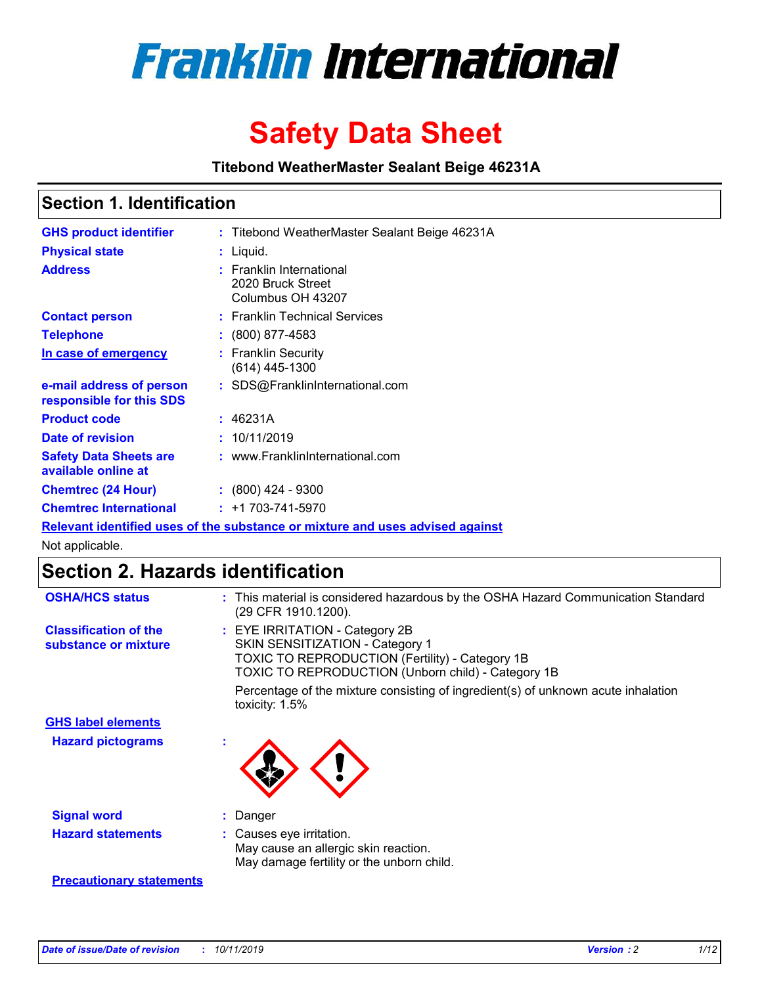

# **Safety Data Sheet**

**Titebond WeatherMaster Sealant Beige 46231A**

### **Section 1. Identification**

| <b>GHS product identifier</b>                        | : Titebond WeatherMaster Sealant Beige 46231A                                 |
|------------------------------------------------------|-------------------------------------------------------------------------------|
| <b>Physical state</b>                                | : Liquid.                                                                     |
| <b>Address</b>                                       | <b>Franklin International</b><br>2020 Bruck Street<br>Columbus OH 43207       |
| <b>Contact person</b>                                | : Franklin Technical Services                                                 |
| <b>Telephone</b>                                     | : (800) 877-4583                                                              |
| In case of emergency                                 | : Franklin Security<br>$(614)$ 445-1300                                       |
| e-mail address of person<br>responsible for this SDS | : SDS@FranklinInternational.com                                               |
| <b>Product code</b>                                  | : 46231A                                                                      |
| Date of revision                                     | : 10/11/2019                                                                  |
| <b>Safety Data Sheets are</b><br>available online at | : www.FranklinInternational.com                                               |
| <b>Chemtrec (24 Hour)</b>                            | $\div$ (800) 424 - 9300                                                       |
| <b>Chemtrec International</b>                        | $: +1703 - 741 - 5970$                                                        |
|                                                      | Relevant identified uses of the substance or mixture and uses advised against |

Not applicable.

### **Section 2. Hazards identification**

| <b>OSHA/HCS status</b>                               | : This material is considered hazardous by the OSHA Hazard Communication Standard<br>(29 CFR 1910.1200).                                                                          |
|------------------------------------------------------|-----------------------------------------------------------------------------------------------------------------------------------------------------------------------------------|
| <b>Classification of the</b><br>substance or mixture | : EYE IRRITATION - Category 2B<br>SKIN SENSITIZATION - Category 1<br><b>TOXIC TO REPRODUCTION (Fertility) - Category 1B</b><br>TOXIC TO REPRODUCTION (Unborn child) - Category 1B |
|                                                      | Percentage of the mixture consisting of ingredient(s) of unknown acute inhalation<br>toxicity: $1.5\%$                                                                            |
| <b>GHS label elements</b>                            |                                                                                                                                                                                   |
| <b>Hazard pictograms</b>                             |                                                                                                                                                                                   |
| <b>Signal word</b>                                   | : Danger                                                                                                                                                                          |
| <b>Hazard statements</b>                             | : Causes eye irritation.<br>May cause an allergic skin reaction.<br>May damage fertility or the unborn child.                                                                     |
| <b>Precautionary statements</b>                      |                                                                                                                                                                                   |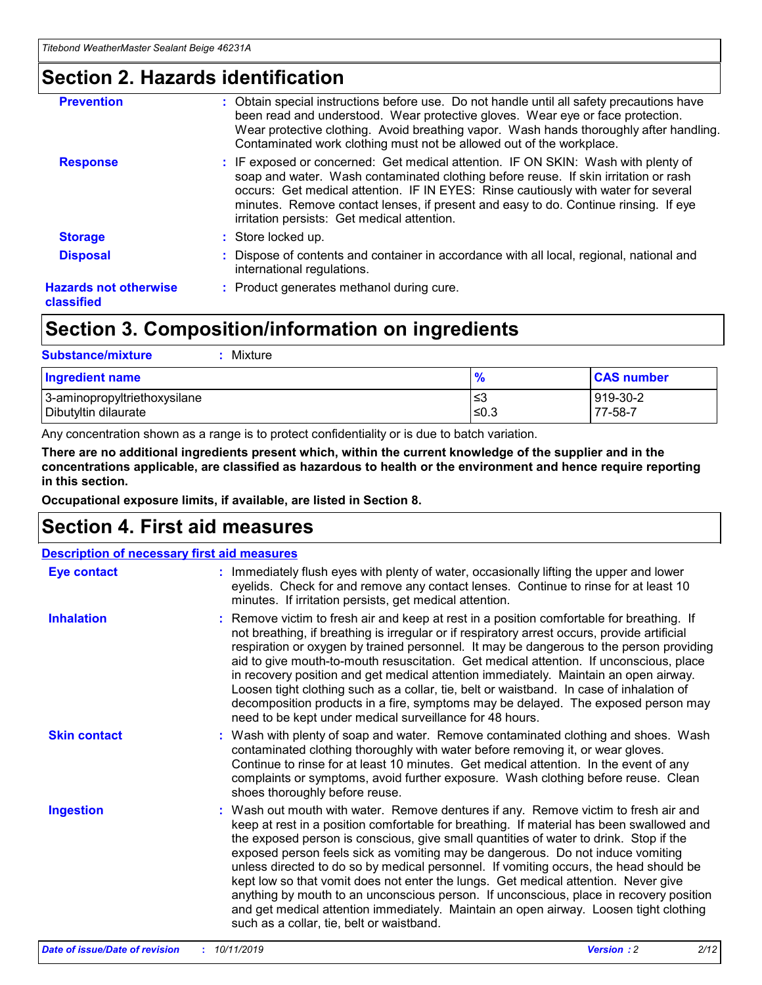### **Section 2. Hazards identification**

| <b>Prevention</b>                          | : Obtain special instructions before use. Do not handle until all safety precautions have<br>been read and understood. Wear protective gloves. Wear eye or face protection.<br>Wear protective clothing. Avoid breathing vapor. Wash hands thoroughly after handling.<br>Contaminated work clothing must not be allowed out of the workplace.                                                        |
|--------------------------------------------|------------------------------------------------------------------------------------------------------------------------------------------------------------------------------------------------------------------------------------------------------------------------------------------------------------------------------------------------------------------------------------------------------|
| <b>Response</b>                            | : IF exposed or concerned: Get medical attention. IF ON SKIN: Wash with plenty of<br>soap and water. Wash contaminated clothing before reuse. If skin irritation or rash<br>occurs: Get medical attention. IF IN EYES: Rinse cautiously with water for several<br>minutes. Remove contact lenses, if present and easy to do. Continue rinsing. If eye<br>irritation persists: Get medical attention. |
| <b>Storage</b>                             | : Store locked up.                                                                                                                                                                                                                                                                                                                                                                                   |
| <b>Disposal</b>                            | : Dispose of contents and container in accordance with all local, regional, national and<br>international regulations.                                                                                                                                                                                                                                                                               |
| <b>Hazards not otherwise</b><br>classified | : Product generates methanol during cure.                                                                                                                                                                                                                                                                                                                                                            |
|                                            |                                                                                                                                                                                                                                                                                                                                                                                                      |

### **Section 3. Composition/information on ingredients**

| <b>Substance/mixture</b><br>Mixture                  |                   |                     |
|------------------------------------------------------|-------------------|---------------------|
| <b>Ingredient name</b>                               | $\frac{9}{6}$     | <b>CAS number</b>   |
| 3-aminopropyltriethoxysilane<br>Dibutyltin dilaurate | l≤3<br>$\leq 0.3$ | 919-30-2<br>77-58-7 |

Any concentration shown as a range is to protect confidentiality or is due to batch variation.

**There are no additional ingredients present which, within the current knowledge of the supplier and in the concentrations applicable, are classified as hazardous to health or the environment and hence require reporting in this section.**

**Occupational exposure limits, if available, are listed in Section 8.**

### **Section 4. First aid measures**

| <b>Description of necessary first aid measures</b> |                                                                                                                                                                                                                                                                                                                                                                                                                                                                                                                                                                                                                                                                                                                                                                           |  |  |  |
|----------------------------------------------------|---------------------------------------------------------------------------------------------------------------------------------------------------------------------------------------------------------------------------------------------------------------------------------------------------------------------------------------------------------------------------------------------------------------------------------------------------------------------------------------------------------------------------------------------------------------------------------------------------------------------------------------------------------------------------------------------------------------------------------------------------------------------------|--|--|--|
| <b>Eye contact</b>                                 | : Immediately flush eyes with plenty of water, occasionally lifting the upper and lower<br>eyelids. Check for and remove any contact lenses. Continue to rinse for at least 10<br>minutes. If irritation persists, get medical attention.                                                                                                                                                                                                                                                                                                                                                                                                                                                                                                                                 |  |  |  |
| <b>Inhalation</b>                                  | : Remove victim to fresh air and keep at rest in a position comfortable for breathing. If<br>not breathing, if breathing is irregular or if respiratory arrest occurs, provide artificial<br>respiration or oxygen by trained personnel. It may be dangerous to the person providing<br>aid to give mouth-to-mouth resuscitation. Get medical attention. If unconscious, place<br>in recovery position and get medical attention immediately. Maintain an open airway.<br>Loosen tight clothing such as a collar, tie, belt or waistband. In case of inhalation of<br>decomposition products in a fire, symptoms may be delayed. The exposed person may<br>need to be kept under medical surveillance for 48 hours.                                                       |  |  |  |
| <b>Skin contact</b>                                | : Wash with plenty of soap and water. Remove contaminated clothing and shoes. Wash<br>contaminated clothing thoroughly with water before removing it, or wear gloves.<br>Continue to rinse for at least 10 minutes. Get medical attention. In the event of any<br>complaints or symptoms, avoid further exposure. Wash clothing before reuse. Clean<br>shoes thoroughly before reuse.                                                                                                                                                                                                                                                                                                                                                                                     |  |  |  |
| <b>Ingestion</b>                                   | : Wash out mouth with water. Remove dentures if any. Remove victim to fresh air and<br>keep at rest in a position comfortable for breathing. If material has been swallowed and<br>the exposed person is conscious, give small quantities of water to drink. Stop if the<br>exposed person feels sick as vomiting may be dangerous. Do not induce vomiting<br>unless directed to do so by medical personnel. If vomiting occurs, the head should be<br>kept low so that vomit does not enter the lungs. Get medical attention. Never give<br>anything by mouth to an unconscious person. If unconscious, place in recovery position<br>and get medical attention immediately. Maintain an open airway. Loosen tight clothing<br>such as a collar, tie, belt or waistband. |  |  |  |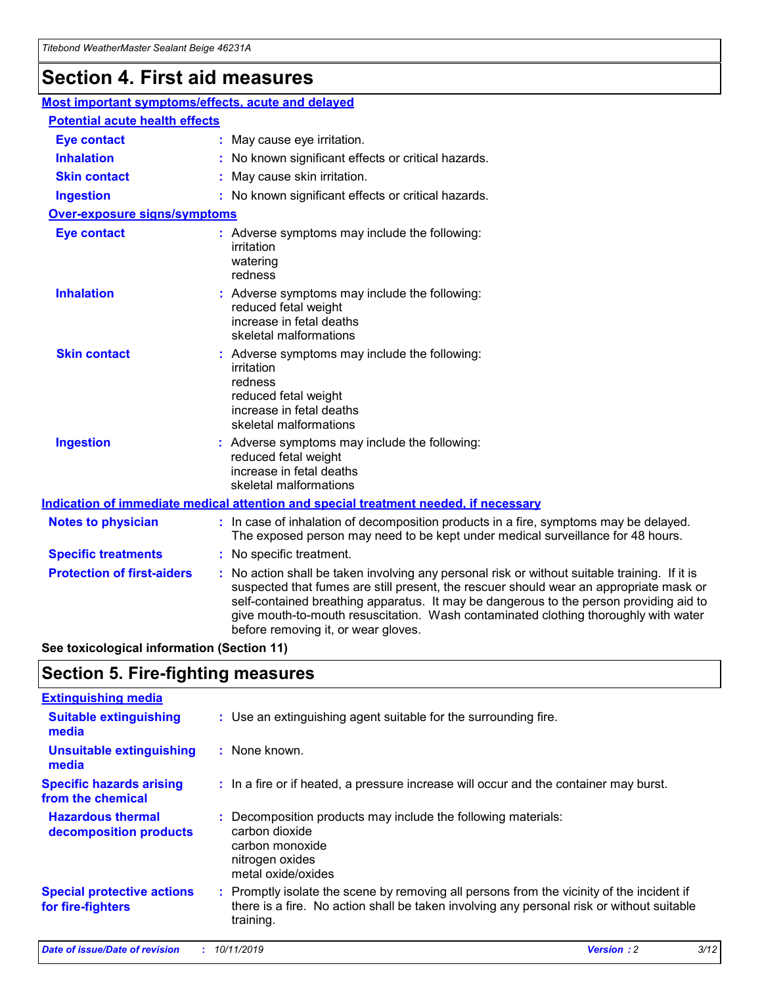## **Section 4. First aid measures**

| Most important symptoms/effects, acute and delayed |  |                                                                                                                                                                                                                                                                                                                                                                                                                 |
|----------------------------------------------------|--|-----------------------------------------------------------------------------------------------------------------------------------------------------------------------------------------------------------------------------------------------------------------------------------------------------------------------------------------------------------------------------------------------------------------|
| <b>Potential acute health effects</b>              |  |                                                                                                                                                                                                                                                                                                                                                                                                                 |
| <b>Eye contact</b>                                 |  | : May cause eye irritation.                                                                                                                                                                                                                                                                                                                                                                                     |
| <b>Inhalation</b>                                  |  | : No known significant effects or critical hazards.                                                                                                                                                                                                                                                                                                                                                             |
| <b>Skin contact</b>                                |  | : May cause skin irritation.                                                                                                                                                                                                                                                                                                                                                                                    |
| <b>Ingestion</b>                                   |  | : No known significant effects or critical hazards.                                                                                                                                                                                                                                                                                                                                                             |
| <b>Over-exposure signs/symptoms</b>                |  |                                                                                                                                                                                                                                                                                                                                                                                                                 |
| <b>Eye contact</b>                                 |  | : Adverse symptoms may include the following:<br>irritation<br>watering<br>redness                                                                                                                                                                                                                                                                                                                              |
| <b>Inhalation</b>                                  |  | : Adverse symptoms may include the following:<br>reduced fetal weight<br>increase in fetal deaths<br>skeletal malformations                                                                                                                                                                                                                                                                                     |
| <b>Skin contact</b>                                |  | : Adverse symptoms may include the following:<br>irritation<br>redness<br>reduced fetal weight<br>increase in fetal deaths<br>skeletal malformations                                                                                                                                                                                                                                                            |
| <b>Ingestion</b>                                   |  | : Adverse symptoms may include the following:<br>reduced fetal weight<br>increase in fetal deaths<br>skeletal malformations                                                                                                                                                                                                                                                                                     |
|                                                    |  | <b>Indication of immediate medical attention and special treatment needed, if necessary</b>                                                                                                                                                                                                                                                                                                                     |
| <b>Notes to physician</b>                          |  | : In case of inhalation of decomposition products in a fire, symptoms may be delayed.<br>The exposed person may need to be kept under medical surveillance for 48 hours.                                                                                                                                                                                                                                        |
| <b>Specific treatments</b>                         |  | : No specific treatment.                                                                                                                                                                                                                                                                                                                                                                                        |
| <b>Protection of first-aiders</b>                  |  | : No action shall be taken involving any personal risk or without suitable training. If it is<br>suspected that fumes are still present, the rescuer should wear an appropriate mask or<br>self-contained breathing apparatus. It may be dangerous to the person providing aid to<br>give mouth-to-mouth resuscitation. Wash contaminated clothing thoroughly with water<br>before removing it, or wear gloves. |

**See toxicological information (Section 11)**

### **Section 5. Fire-fighting measures**

| <b>Extinguishing media</b>                             |                                                                                                                                                                                                     |
|--------------------------------------------------------|-----------------------------------------------------------------------------------------------------------------------------------------------------------------------------------------------------|
| <b>Suitable extinguishing</b><br>media                 | : Use an extinguishing agent suitable for the surrounding fire.                                                                                                                                     |
| <b>Unsuitable extinguishing</b><br>media               | : None known.                                                                                                                                                                                       |
| <b>Specific hazards arising</b><br>from the chemical   | : In a fire or if heated, a pressure increase will occur and the container may burst.                                                                                                               |
| <b>Hazardous thermal</b><br>decomposition products     | : Decomposition products may include the following materials:<br>carbon dioxide<br>carbon monoxide<br>nitrogen oxides<br>metal oxide/oxides                                                         |
| <b>Special protective actions</b><br>for fire-fighters | : Promptly isolate the scene by removing all persons from the vicinity of the incident if<br>there is a fire. No action shall be taken involving any personal risk or without suitable<br>training. |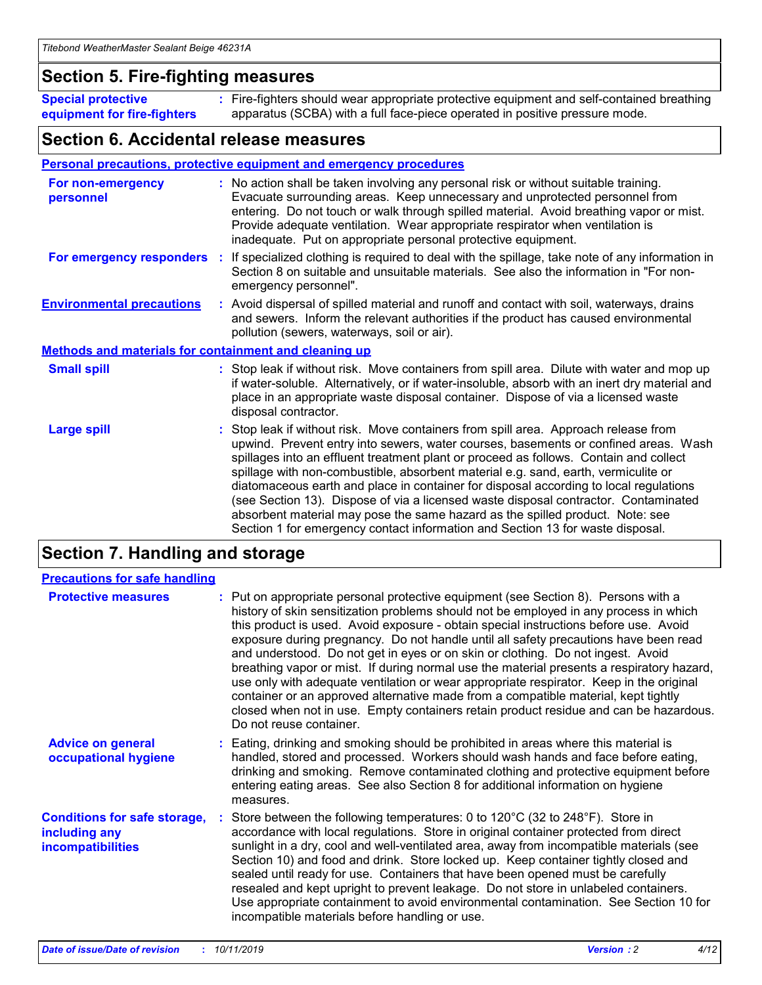### **Section 5. Fire-fighting measures**

**Special protective equipment for fire-fighters** Fire-fighters should wear appropriate protective equipment and self-contained breathing **:** apparatus (SCBA) with a full face-piece operated in positive pressure mode.

### **Section 6. Accidental release measures**

#### **Personal precautions, protective equipment and emergency procedures**

| For non-emergency<br>personnel                               | : No action shall be taken involving any personal risk or without suitable training.<br>Evacuate surrounding areas. Keep unnecessary and unprotected personnel from<br>entering. Do not touch or walk through spilled material. Avoid breathing vapor or mist.<br>Provide adequate ventilation. Wear appropriate respirator when ventilation is<br>inadequate. Put on appropriate personal protective equipment.                                                                                                                                                                                                                                                                                             |
|--------------------------------------------------------------|--------------------------------------------------------------------------------------------------------------------------------------------------------------------------------------------------------------------------------------------------------------------------------------------------------------------------------------------------------------------------------------------------------------------------------------------------------------------------------------------------------------------------------------------------------------------------------------------------------------------------------------------------------------------------------------------------------------|
|                                                              | For emergency responders : If specialized clothing is required to deal with the spillage, take note of any information in<br>Section 8 on suitable and unsuitable materials. See also the information in "For non-<br>emergency personnel".                                                                                                                                                                                                                                                                                                                                                                                                                                                                  |
| <b>Environmental precautions</b>                             | : Avoid dispersal of spilled material and runoff and contact with soil, waterways, drains<br>and sewers. Inform the relevant authorities if the product has caused environmental<br>pollution (sewers, waterways, soil or air).                                                                                                                                                                                                                                                                                                                                                                                                                                                                              |
| <b>Methods and materials for containment and cleaning up</b> |                                                                                                                                                                                                                                                                                                                                                                                                                                                                                                                                                                                                                                                                                                              |
| <b>Small spill</b>                                           | : Stop leak if without risk. Move containers from spill area. Dilute with water and mop up<br>if water-soluble. Alternatively, or if water-insoluble, absorb with an inert dry material and<br>place in an appropriate waste disposal container. Dispose of via a licensed waste<br>disposal contractor.                                                                                                                                                                                                                                                                                                                                                                                                     |
| <b>Large spill</b>                                           | : Stop leak if without risk. Move containers from spill area. Approach release from<br>upwind. Prevent entry into sewers, water courses, basements or confined areas. Wash<br>spillages into an effluent treatment plant or proceed as follows. Contain and collect<br>spillage with non-combustible, absorbent material e.g. sand, earth, vermiculite or<br>diatomaceous earth and place in container for disposal according to local regulations<br>(see Section 13). Dispose of via a licensed waste disposal contractor. Contaminated<br>absorbent material may pose the same hazard as the spilled product. Note: see<br>Section 1 for emergency contact information and Section 13 for waste disposal. |

### **Section 7. Handling and storage**

| <b>Precautions for safe handling</b>                                             |                                                                                                                                                                                                                                                                                                                                                                                                                                                                                                                                                                                                                                                                                                                                                                                                                                                  |
|----------------------------------------------------------------------------------|--------------------------------------------------------------------------------------------------------------------------------------------------------------------------------------------------------------------------------------------------------------------------------------------------------------------------------------------------------------------------------------------------------------------------------------------------------------------------------------------------------------------------------------------------------------------------------------------------------------------------------------------------------------------------------------------------------------------------------------------------------------------------------------------------------------------------------------------------|
| <b>Protective measures</b>                                                       | : Put on appropriate personal protective equipment (see Section 8). Persons with a<br>history of skin sensitization problems should not be employed in any process in which<br>this product is used. Avoid exposure - obtain special instructions before use. Avoid<br>exposure during pregnancy. Do not handle until all safety precautions have been read<br>and understood. Do not get in eyes or on skin or clothing. Do not ingest. Avoid<br>breathing vapor or mist. If during normal use the material presents a respiratory hazard,<br>use only with adequate ventilation or wear appropriate respirator. Keep in the original<br>container or an approved alternative made from a compatible material, kept tightly<br>closed when not in use. Empty containers retain product residue and can be hazardous.<br>Do not reuse container. |
| <b>Advice on general</b><br>occupational hygiene                                 | : Eating, drinking and smoking should be prohibited in areas where this material is<br>handled, stored and processed. Workers should wash hands and face before eating,<br>drinking and smoking. Remove contaminated clothing and protective equipment before<br>entering eating areas. See also Section 8 for additional information on hygiene<br>measures.                                                                                                                                                                                                                                                                                                                                                                                                                                                                                    |
| <b>Conditions for safe storage,</b><br>including any<br><b>incompatibilities</b> | : Store between the following temperatures: 0 to 120 $\degree$ C (32 to 248 $\degree$ F). Store in<br>accordance with local regulations. Store in original container protected from direct<br>sunlight in a dry, cool and well-ventilated area, away from incompatible materials (see<br>Section 10) and food and drink. Store locked up. Keep container tightly closed and<br>sealed until ready for use. Containers that have been opened must be carefully<br>resealed and kept upright to prevent leakage. Do not store in unlabeled containers.<br>Use appropriate containment to avoid environmental contamination. See Section 10 for<br>incompatible materials before handling or use.                                                                                                                                                   |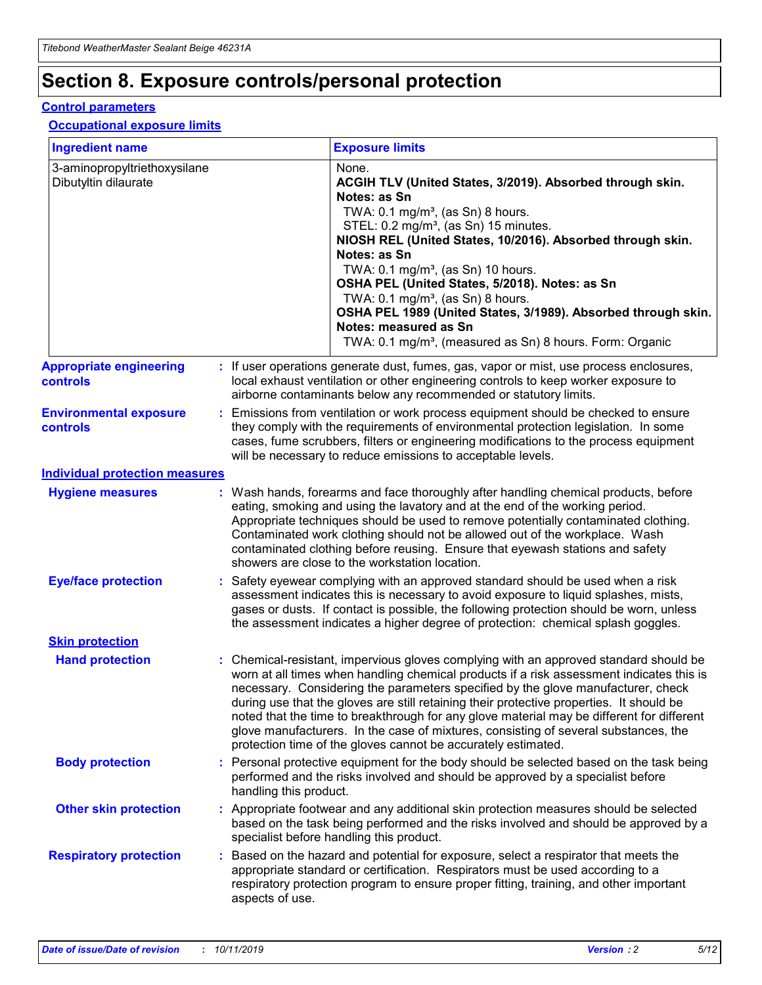## **Section 8. Exposure controls/personal protection**

#### **Control parameters**

#### **Occupational exposure limits**

| <b>Ingredient name</b>                               |    |                        | <b>Exposure limits</b>                                                                                                                                                                                                                                                                                                                                                                                                                                                                                                                                                                                                 |
|------------------------------------------------------|----|------------------------|------------------------------------------------------------------------------------------------------------------------------------------------------------------------------------------------------------------------------------------------------------------------------------------------------------------------------------------------------------------------------------------------------------------------------------------------------------------------------------------------------------------------------------------------------------------------------------------------------------------------|
| 3-aminopropyltriethoxysilane<br>Dibutyltin dilaurate |    |                        | None.<br>ACGIH TLV (United States, 3/2019). Absorbed through skin.<br>Notes: as Sn<br>TWA: $0.1 \text{ mg/m}^3$ , (as Sn) 8 hours.<br>STEL: 0.2 mg/m <sup>3</sup> , (as Sn) 15 minutes.<br>NIOSH REL (United States, 10/2016). Absorbed through skin.<br>Notes: as Sn<br>TWA: 0.1 mg/m <sup>3</sup> , (as Sn) 10 hours.<br>OSHA PEL (United States, 5/2018). Notes: as Sn<br>TWA: 0.1 mg/m <sup>3</sup> , (as Sn) 8 hours.<br>OSHA PEL 1989 (United States, 3/1989). Absorbed through skin.<br>Notes: measured as Sn<br>TWA: 0.1 mg/m <sup>3</sup> , (measured as Sn) 8 hours. Form: Organic                           |
| <b>Appropriate engineering</b><br>controls           |    |                        | : If user operations generate dust, fumes, gas, vapor or mist, use process enclosures,<br>local exhaust ventilation or other engineering controls to keep worker exposure to<br>airborne contaminants below any recommended or statutory limits.                                                                                                                                                                                                                                                                                                                                                                       |
| <b>Environmental exposure</b><br>controls            |    |                        | Emissions from ventilation or work process equipment should be checked to ensure<br>they comply with the requirements of environmental protection legislation. In some<br>cases, fume scrubbers, filters or engineering modifications to the process equipment<br>will be necessary to reduce emissions to acceptable levels.                                                                                                                                                                                                                                                                                          |
| <b>Individual protection measures</b>                |    |                        |                                                                                                                                                                                                                                                                                                                                                                                                                                                                                                                                                                                                                        |
| <b>Hygiene measures</b>                              |    |                        | : Wash hands, forearms and face thoroughly after handling chemical products, before<br>eating, smoking and using the lavatory and at the end of the working period.<br>Appropriate techniques should be used to remove potentially contaminated clothing.<br>Contaminated work clothing should not be allowed out of the workplace. Wash<br>contaminated clothing before reusing. Ensure that eyewash stations and safety<br>showers are close to the workstation location.                                                                                                                                            |
| <b>Eye/face protection</b>                           |    |                        | Safety eyewear complying with an approved standard should be used when a risk<br>assessment indicates this is necessary to avoid exposure to liquid splashes, mists,<br>gases or dusts. If contact is possible, the following protection should be worn, unless<br>the assessment indicates a higher degree of protection: chemical splash goggles.                                                                                                                                                                                                                                                                    |
| <b>Skin protection</b>                               |    |                        |                                                                                                                                                                                                                                                                                                                                                                                                                                                                                                                                                                                                                        |
| <b>Hand protection</b>                               |    |                        | : Chemical-resistant, impervious gloves complying with an approved standard should be<br>worn at all times when handling chemical products if a risk assessment indicates this is<br>necessary. Considering the parameters specified by the glove manufacturer, check<br>during use that the gloves are still retaining their protective properties. It should be<br>noted that the time to breakthrough for any glove material may be different for different<br>glove manufacturers. In the case of mixtures, consisting of several substances, the<br>protection time of the gloves cannot be accurately estimated. |
| <b>Body protection</b>                               |    | handling this product. | Personal protective equipment for the body should be selected based on the task being<br>performed and the risks involved and should be approved by a specialist before                                                                                                                                                                                                                                                                                                                                                                                                                                                |
| <b>Other skin protection</b>                         |    |                        | : Appropriate footwear and any additional skin protection measures should be selected<br>based on the task being performed and the risks involved and should be approved by a<br>specialist before handling this product.                                                                                                                                                                                                                                                                                                                                                                                              |
| <b>Respiratory protection</b>                        | ÷. | aspects of use.        | Based on the hazard and potential for exposure, select a respirator that meets the<br>appropriate standard or certification. Respirators must be used according to a<br>respiratory protection program to ensure proper fitting, training, and other important                                                                                                                                                                                                                                                                                                                                                         |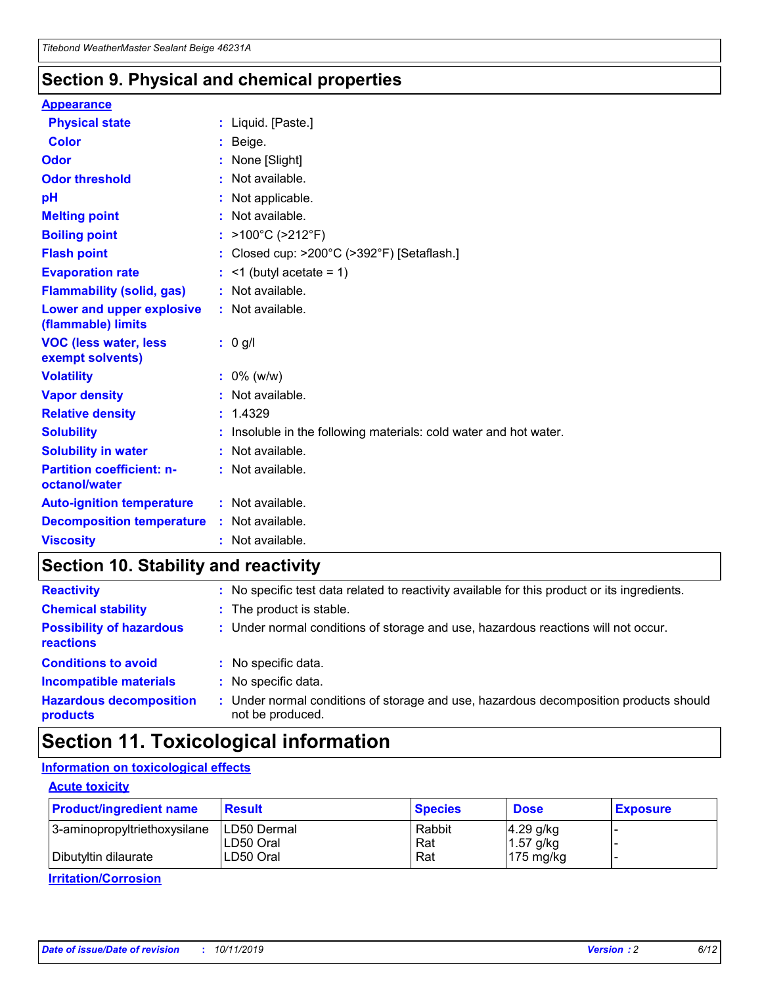### **Section 9. Physical and chemical properties**

#### **Appearance**

| <b>Physical state</b>                                  | : Liquid. [Paste.]                                              |
|--------------------------------------------------------|-----------------------------------------------------------------|
| <b>Color</b>                                           | Beige.                                                          |
| Odor                                                   | None [Slight]                                                   |
| <b>Odor threshold</b>                                  | $:$ Not available.                                              |
| рH                                                     | : Not applicable.                                               |
| <b>Melting point</b>                                   | : Not available.                                                |
| <b>Boiling point</b>                                   | : >100°C (>212°F)                                               |
| <b>Flash point</b>                                     | : Closed cup: >200°C (>392°F) [Setaflash.]                      |
| <b>Evaporation rate</b>                                | $:$ <1 (butyl acetate = 1)                                      |
| <b>Flammability (solid, gas)</b>                       | : Not available.                                                |
| <b>Lower and upper explosive</b><br>(flammable) limits | : Not available.                                                |
| <b>VOC (less water, less</b><br>exempt solvents)       | $: 0$ g/l                                                       |
| <b>Volatility</b>                                      | $: 0\%$ (w/w)                                                   |
| <b>Vapor density</b>                                   | : Not available.                                                |
| <b>Relative density</b>                                | : 1.4329                                                        |
| <b>Solubility</b>                                      | Insoluble in the following materials: cold water and hot water. |
| <b>Solubility in water</b>                             | : Not available.                                                |
| <b>Partition coefficient: n-</b><br>octanol/water      | : Not available.                                                |
|                                                        |                                                                 |
| <b>Auto-ignition temperature</b>                       | : Not available.                                                |
| <b>Decomposition temperature</b>                       | : Not available.                                                |

### **Section 10. Stability and reactivity**

| <b>Reactivity</b>                            |    | : No specific test data related to reactivity available for this product or its ingredients.            |
|----------------------------------------------|----|---------------------------------------------------------------------------------------------------------|
| <b>Chemical stability</b>                    |    | : The product is stable.                                                                                |
| <b>Possibility of hazardous</b><br>reactions |    | : Under normal conditions of storage and use, hazardous reactions will not occur.                       |
| <b>Conditions to avoid</b>                   |    | : No specific data.                                                                                     |
| <b>Incompatible materials</b>                | ٠. | No specific data.                                                                                       |
| <b>Hazardous decomposition</b><br>products   | ÷. | Under normal conditions of storage and use, hazardous decomposition products should<br>not be produced. |

## **Section 11. Toxicological information**

### **Information on toxicological effects**

#### **Acute toxicity**

| <b>Product/ingredient name</b> | <b>Result</b>           | <b>Species</b> | <b>Dose</b>                | <b>Exposure</b> |
|--------------------------------|-------------------------|----------------|----------------------------|-----------------|
| 3-aminopropyltriethoxysilane   | <b>ILD50 Dermal</b>     | Rabbit         | 4.29 g/kg                  |                 |
| Dibutyltin dilaurate           | ILD50 Oral<br>LD50 Oral | Rat<br>Rat     | $1.57$ g/kg<br>175 $mg/kg$ |                 |
|                                |                         |                |                            |                 |

**Irritation/Corrosion**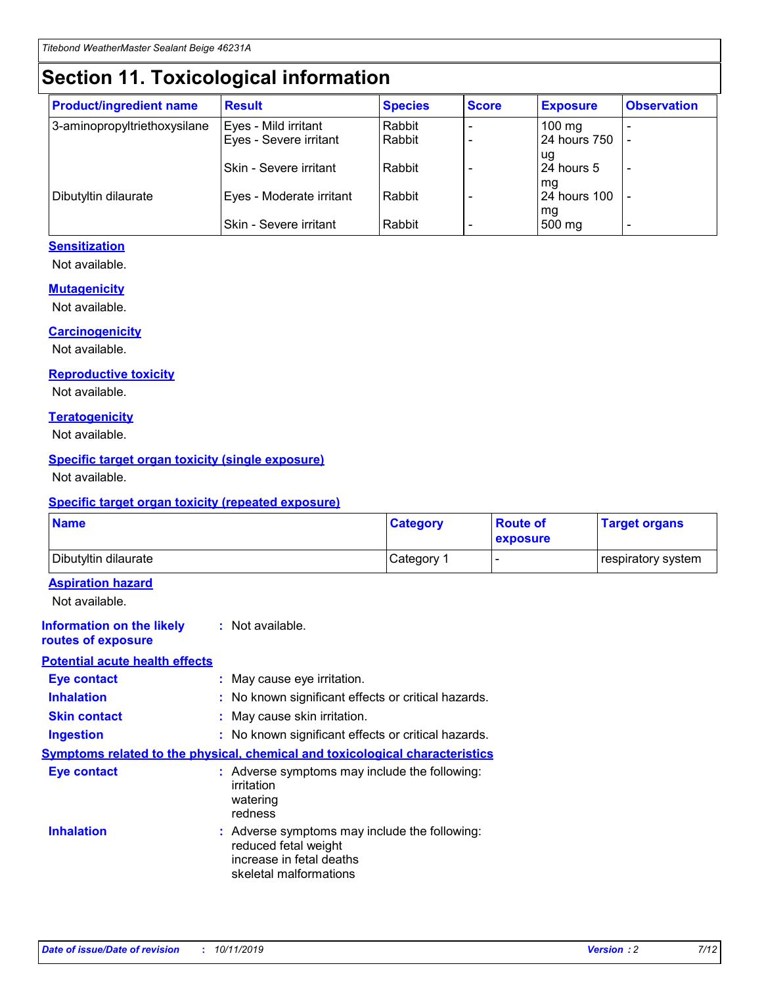## **Section 11. Toxicological information**

| <b>Product/ingredient name</b> | <b>Result</b>            | <b>Species</b> | <b>Score</b> | <b>Exposure</b>     | <b>Observation</b> |
|--------------------------------|--------------------------|----------------|--------------|---------------------|--------------------|
| 3-aminopropyltriethoxysilane   | Eyes - Mild irritant     | Rabbit         |              | $100 \text{ mg}$    |                    |
|                                | Eyes - Severe irritant   | Rabbit         |              | 24 hours 750        |                    |
|                                |                          |                |              | ug                  |                    |
|                                | Skin - Severe irritant   | Rabbit         |              | 24 hours 5          |                    |
|                                |                          |                |              | mq                  |                    |
| Dibutyltin dilaurate           | Eyes - Moderate irritant | Rabbit         |              | <b>24 hours 100</b> |                    |
|                                | Skin - Severe irritant   | Rabbit         |              | mg<br>500 mg        |                    |
|                                |                          |                |              |                     |                    |

### **Sensitization**

Not available.

#### **Mutagenicity**

Not available.

#### **Carcinogenicity**

Not available.

#### **Reproductive toxicity**

Not available.

#### **Teratogenicity**

Not available.

#### **Specific target organ toxicity (single exposure)**

Not available.

#### **Specific target organ toxicity (repeated exposure)**

| <b>Name</b>                                                                  |                                                                                                                             | <b>Category</b> | <b>Route of</b><br>exposure  | <b>Target organs</b> |
|------------------------------------------------------------------------------|-----------------------------------------------------------------------------------------------------------------------------|-----------------|------------------------------|----------------------|
| Dibutyltin dilaurate                                                         |                                                                                                                             | Category 1      | $\qquad \qquad \blacksquare$ | respiratory system   |
| <b>Aspiration hazard</b><br>Not available.                                   |                                                                                                                             |                 |                              |                      |
| <b>Information on the likely</b><br>routes of exposure                       | : Not available.                                                                                                            |                 |                              |                      |
| <b>Potential acute health effects</b>                                        |                                                                                                                             |                 |                              |                      |
| <b>Eye contact</b>                                                           | : May cause eye irritation.                                                                                                 |                 |                              |                      |
| <b>Inhalation</b>                                                            | : No known significant effects or critical hazards.                                                                         |                 |                              |                      |
| <b>Skin contact</b>                                                          | : May cause skin irritation.                                                                                                |                 |                              |                      |
| <b>Ingestion</b>                                                             | : No known significant effects or critical hazards.                                                                         |                 |                              |                      |
| Symptoms related to the physical, chemical and toxicological characteristics |                                                                                                                             |                 |                              |                      |
| <b>Eye contact</b>                                                           | : Adverse symptoms may include the following:<br>irritation<br>watering<br>redness                                          |                 |                              |                      |
| <b>Inhalation</b>                                                            | : Adverse symptoms may include the following:<br>reduced fetal weight<br>increase in fetal deaths<br>skeletal malformations |                 |                              |                      |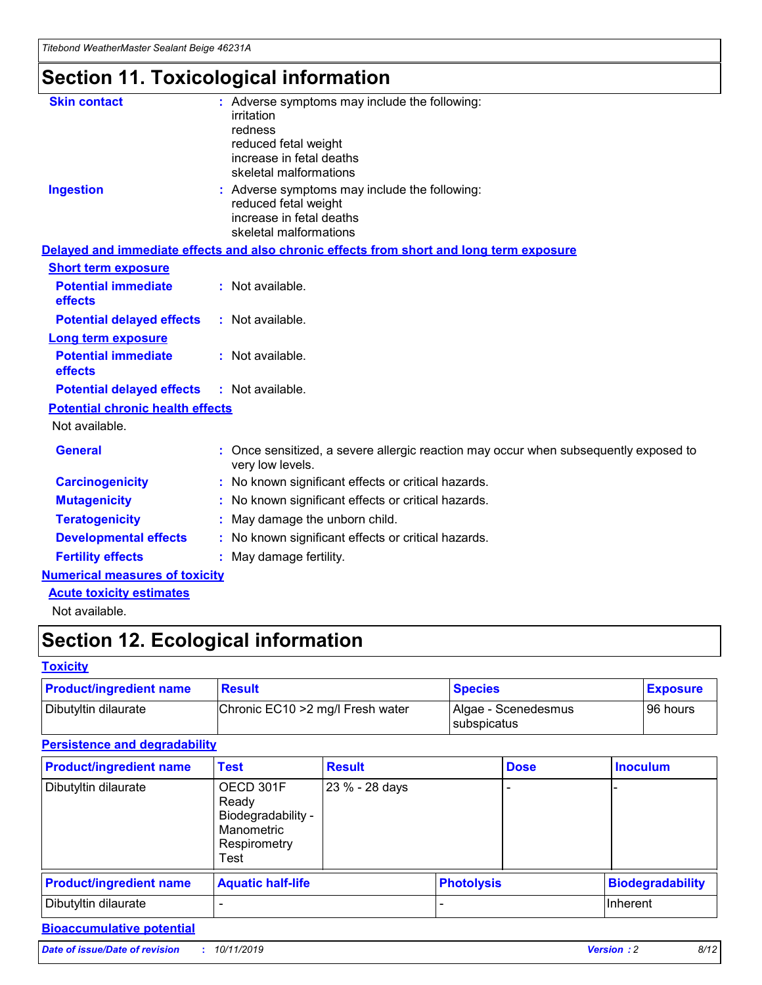## **Section 11. Toxicological information**

| <b>Skin contact</b>                     | : Adverse symptoms may include the following:<br>irritation<br>redness<br>reduced fetal weight<br>increase in fetal deaths<br>skeletal malformations |
|-----------------------------------------|------------------------------------------------------------------------------------------------------------------------------------------------------|
| <b>Ingestion</b>                        | : Adverse symptoms may include the following:<br>reduced fetal weight<br>increase in fetal deaths<br>skeletal malformations                          |
|                                         | Delayed and immediate effects and also chronic effects from short and long term exposure                                                             |
| <b>Short term exposure</b>              |                                                                                                                                                      |
| <b>Potential immediate</b><br>effects   | : Not available.                                                                                                                                     |
| <b>Potential delayed effects</b>        | : Not available.                                                                                                                                     |
| <b>Long term exposure</b>               |                                                                                                                                                      |
| <b>Potential immediate</b><br>effects   | : Not available.                                                                                                                                     |
| <b>Potential delayed effects</b>        | : Not available.                                                                                                                                     |
| <b>Potential chronic health effects</b> |                                                                                                                                                      |
| Not available.                          |                                                                                                                                                      |
| <b>General</b>                          | : Once sensitized, a severe allergic reaction may occur when subsequently exposed to<br>very low levels.                                             |
| <b>Carcinogenicity</b>                  | : No known significant effects or critical hazards.                                                                                                  |
| <b>Mutagenicity</b>                     | No known significant effects or critical hazards.                                                                                                    |
| <b>Teratogenicity</b>                   | May damage the unborn child.                                                                                                                         |
| <b>Developmental effects</b>            | No known significant effects or critical hazards.                                                                                                    |
| <b>Fertility effects</b>                | : May damage fertility.                                                                                                                              |
| <b>Numerical measures of toxicity</b>   |                                                                                                                                                      |
| <b>Acute toxicity estimates</b>         |                                                                                                                                                      |
|                                         |                                                                                                                                                      |

Not available.

## **Section 12. Ecological information**

#### **Toxicity**

| <b>Product/ingredient name</b> | <b>Result</b>                     | <b>Species</b>                       | <b>Exposure</b> |
|--------------------------------|-----------------------------------|--------------------------------------|-----------------|
| Dibutyltin dilaurate           | Chronic EC10 > 2 mg/l Fresh water | Algae - Scenedesmus<br>I subspicatus | l 96 hours i    |

### **Persistence and degradability**

| <b>Product/ingredient name</b> | <b>Test</b>                                                                    | <b>Result</b>  |                   | <b>Dose</b> | <b>Inoculum</b>         |
|--------------------------------|--------------------------------------------------------------------------------|----------------|-------------------|-------------|-------------------------|
| Dibutyltin dilaurate           | OECD 301F<br>Ready<br>Biodegradability -<br>Manometric<br>Respirometry<br>Test | 23 % - 28 days |                   |             |                         |
| <b>Product/ingredient name</b> | <b>Aquatic half-life</b>                                                       |                | <b>Photolysis</b> |             | <b>Biodegradability</b> |
| Dibutyltin dilaurate           |                                                                                |                |                   |             | Inherent                |

### **Bioaccumulative potential**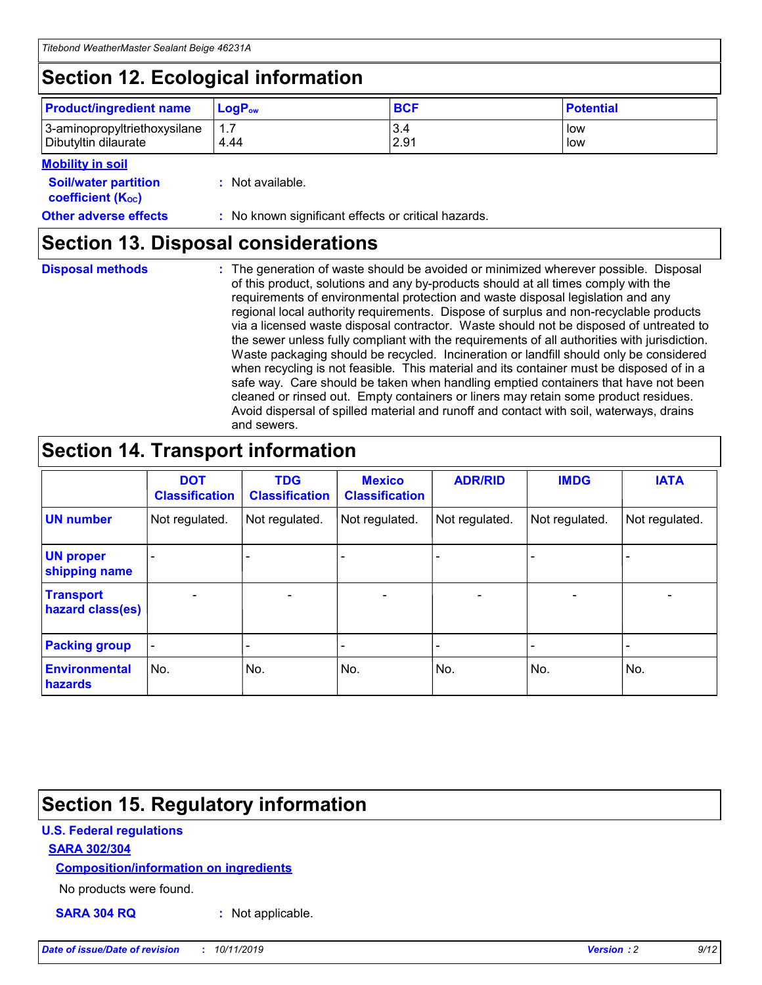## **Section 12. Ecological information**

| <b>Product/ingredient name</b> | $LoaPow$ | <b>BCF</b> | <b>Potential</b> |
|--------------------------------|----------|------------|------------------|
| 3-aminopropyltriethoxysilane   | 1.7      | 3.4        | low              |
| Dibutyltin dilaurate           | 4.44     | 2.91       | low              |

#### **Mobility in soil**

| <i></i>                                                       |                                                     |
|---------------------------------------------------------------|-----------------------------------------------------|
| <b>Soil/water partition</b><br>coefficient (K <sub>oc</sub> ) | : Not available.                                    |
| <b>Other adverse effects</b>                                  | : No known significant effects or critical hazards. |

### **Section 13. Disposal considerations**

**Disposal methods :**

The generation of waste should be avoided or minimized wherever possible. Disposal of this product, solutions and any by-products should at all times comply with the requirements of environmental protection and waste disposal legislation and any regional local authority requirements. Dispose of surplus and non-recyclable products via a licensed waste disposal contractor. Waste should not be disposed of untreated to the sewer unless fully compliant with the requirements of all authorities with jurisdiction. Waste packaging should be recycled. Incineration or landfill should only be considered when recycling is not feasible. This material and its container must be disposed of in a safe way. Care should be taken when handling emptied containers that have not been cleaned or rinsed out. Empty containers or liners may retain some product residues. Avoid dispersal of spilled material and runoff and contact with soil, waterways, drains and sewers.

## **Section 14. Transport information**

|                                      | <b>DOT</b><br><b>Classification</b> | <b>TDG</b><br><b>Classification</b> | <b>Mexico</b><br><b>Classification</b> | <b>ADR/RID</b> | <b>IMDG</b>              | <b>IATA</b>              |
|--------------------------------------|-------------------------------------|-------------------------------------|----------------------------------------|----------------|--------------------------|--------------------------|
| <b>UN number</b>                     | Not regulated.                      | Not regulated.                      | Not regulated.                         | Not regulated. | Not regulated.           | Not regulated.           |
| <b>UN proper</b><br>shipping name    | $\blacksquare$                      |                                     |                                        |                |                          |                          |
| <b>Transport</b><br>hazard class(es) | $\blacksquare$                      | $\overline{\phantom{a}}$            | $\blacksquare$                         | $\blacksquare$ | $\overline{\phantom{a}}$ | $\overline{\phantom{0}}$ |
| <b>Packing group</b>                 | $\overline{\phantom{a}}$            | $\overline{\phantom{0}}$            | $\overline{\phantom{a}}$               | -              | $\overline{\phantom{0}}$ | $\overline{\phantom{a}}$ |
| <b>Environmental</b><br>hazards      | No.                                 | No.                                 | No.                                    | No.            | No.                      | No.                      |

## **Section 15. Regulatory information**

#### **U.S. Federal regulations**

#### **SARA 302/304**

#### **Composition/information on ingredients**

No products were found.

**SARA 304 RQ :** Not applicable.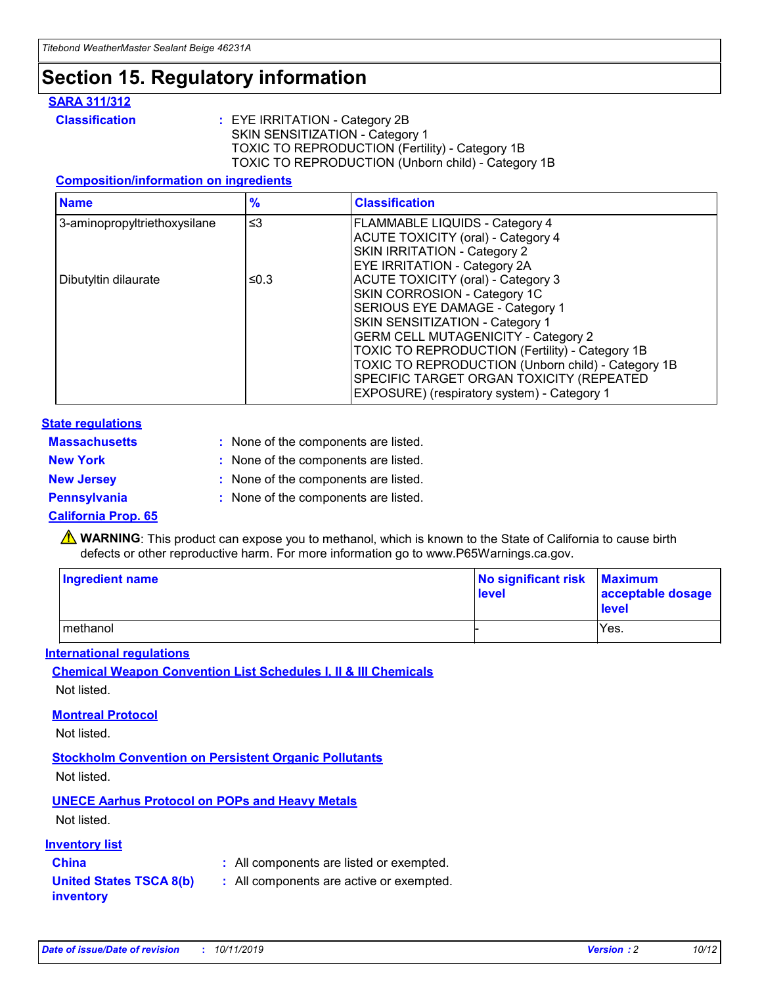## **Section 15. Regulatory information**

#### **SARA 311/312**

**Classification :** EYE IRRITATION - Category 2B SKIN SENSITIZATION - Category 1 TOXIC TO REPRODUCTION (Fertility) - Category 1B TOXIC TO REPRODUCTION (Unborn child) - Category 1B

#### **Composition/information on ingredients**

| <b>Name</b>                  | $\frac{9}{6}$ | <b>Classification</b>                                                                                            |
|------------------------------|---------------|------------------------------------------------------------------------------------------------------------------|
| 3-aminopropyltriethoxysilane | $\leq$ 3      | <b>FLAMMABLE LIQUIDS - Category 4</b><br><b>ACUTE TOXICITY (oral) - Category 4</b>                               |
|                              |               | SKIN IRRITATION - Category 2<br>EYE IRRITATION - Category 2A                                                     |
| Dibutyltin dilaurate         | ≤0.3          | ACUTE TOXICITY (oral) - Category 3<br>SKIN CORROSION - Category 1C                                               |
|                              |               | SERIOUS EYE DAMAGE - Category 1<br>SKIN SENSITIZATION - Category 1<br><b>GERM CELL MUTAGENICITY - Category 2</b> |
|                              |               | TOXIC TO REPRODUCTION (Fertility) - Category 1B<br>TOXIC TO REPRODUCTION (Unborn child) - Category 1B            |
|                              |               | SPECIFIC TARGET ORGAN TOXICITY (REPEATED<br>EXPOSURE) (respiratory system) - Category 1                          |

#### **State regulations**

| <b>Massachusetts</b> | : None of the components are listed. |
|----------------------|--------------------------------------|
| <b>New York</b>      | : None of the components are listed. |
| <b>New Jersey</b>    | : None of the components are listed. |
| Pennsylvania         | : None of the components are listed. |

#### **California Prop. 65**

**A** WARNING: This product can expose you to methanol, which is known to the State of California to cause birth defects or other reproductive harm. For more information go to www.P65Warnings.ca.gov.

| <b>Ingredient name</b> | No significant risk Maximum<br>level | acceptable dosage<br>level |
|------------------------|--------------------------------------|----------------------------|
| methanol               |                                      | Yes.                       |

#### **International regulations**

**Chemical Weapon Convention List Schedules I, II & III Chemicals** Not listed.

#### **Montreal Protocol**

Not listed.

#### **Stockholm Convention on Persistent Organic Pollutants**

Not listed.

### **UNECE Aarhus Protocol on POPs and Heavy Metals**

Not listed.

#### **Inventory list**

### **China :** All components are listed or exempted.

#### **United States TSCA 8(b) inventory :** All components are active or exempted.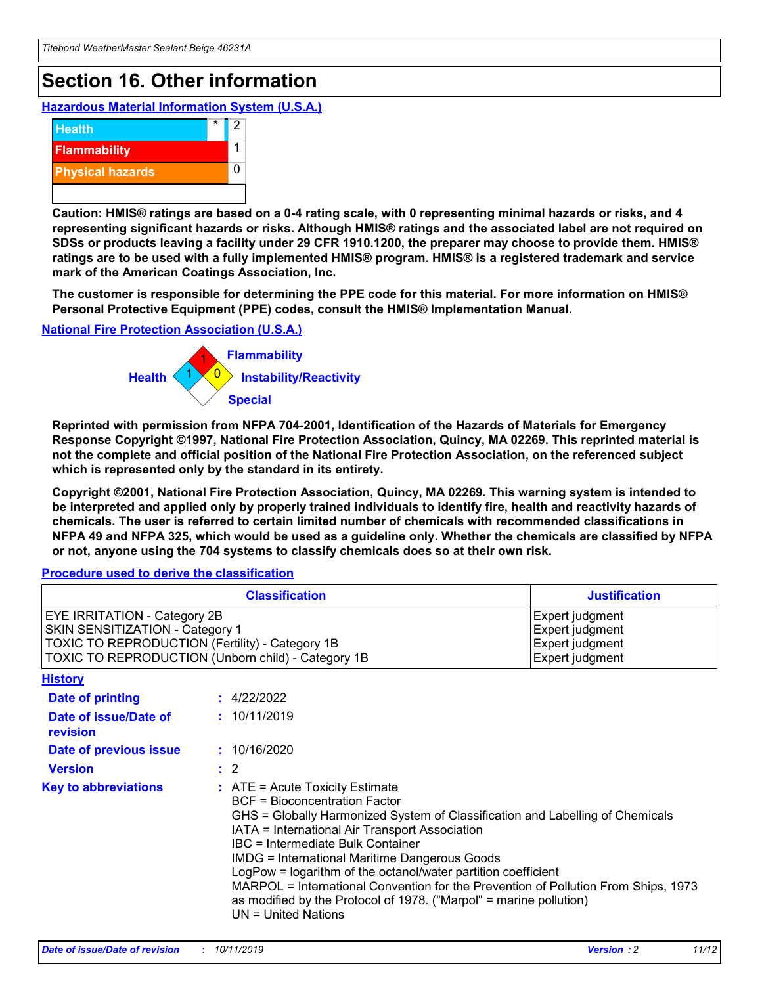## **Section 16. Other information**

**Hazardous Material Information System (U.S.A.)**



**Caution: HMIS® ratings are based on a 0-4 rating scale, with 0 representing minimal hazards or risks, and 4 representing significant hazards or risks. Although HMIS® ratings and the associated label are not required on SDSs or products leaving a facility under 29 CFR 1910.1200, the preparer may choose to provide them. HMIS® ratings are to be used with a fully implemented HMIS® program. HMIS® is a registered trademark and service mark of the American Coatings Association, Inc.**

**The customer is responsible for determining the PPE code for this material. For more information on HMIS® Personal Protective Equipment (PPE) codes, consult the HMIS® Implementation Manual.**

#### **National Fire Protection Association (U.S.A.)**



**Reprinted with permission from NFPA 704-2001, Identification of the Hazards of Materials for Emergency Response Copyright ©1997, National Fire Protection Association, Quincy, MA 02269. This reprinted material is not the complete and official position of the National Fire Protection Association, on the referenced subject which is represented only by the standard in its entirety.**

**Copyright ©2001, National Fire Protection Association, Quincy, MA 02269. This warning system is intended to be interpreted and applied only by properly trained individuals to identify fire, health and reactivity hazards of chemicals. The user is referred to certain limited number of chemicals with recommended classifications in NFPA 49 and NFPA 325, which would be used as a guideline only. Whether the chemicals are classified by NFPA or not, anyone using the 704 systems to classify chemicals does so at their own risk.**

**Procedure used to derive the classification**

| <b>Classification</b>                                                                                                                                                    |                                                                                                                                                  | <b>Justification</b>                                                                                                                                                                                                                                                                                                                                                                                                 |  |
|--------------------------------------------------------------------------------------------------------------------------------------------------------------------------|--------------------------------------------------------------------------------------------------------------------------------------------------|----------------------------------------------------------------------------------------------------------------------------------------------------------------------------------------------------------------------------------------------------------------------------------------------------------------------------------------------------------------------------------------------------------------------|--|
| EYE IRRITATION - Category 2B<br>SKIN SENSITIZATION - Category 1<br>TOXIC TO REPRODUCTION (Fertility) - Category 1B<br>TOXIC TO REPRODUCTION (Unborn child) - Category 1B |                                                                                                                                                  | Expert judgment<br>Expert judgment<br>Expert judgment<br>Expert judgment                                                                                                                                                                                                                                                                                                                                             |  |
| <b>History</b>                                                                                                                                                           |                                                                                                                                                  |                                                                                                                                                                                                                                                                                                                                                                                                                      |  |
| Date of printing                                                                                                                                                         | : 4/22/2022                                                                                                                                      |                                                                                                                                                                                                                                                                                                                                                                                                                      |  |
| Date of issue/Date of<br>revision                                                                                                                                        | : 10/11/2019                                                                                                                                     |                                                                                                                                                                                                                                                                                                                                                                                                                      |  |
| Date of previous issue                                                                                                                                                   | : 10/16/2020                                                                                                                                     |                                                                                                                                                                                                                                                                                                                                                                                                                      |  |
| <b>Version</b>                                                                                                                                                           | $\therefore$ 2                                                                                                                                   |                                                                                                                                                                                                                                                                                                                                                                                                                      |  |
| <b>Key to abbreviations</b>                                                                                                                                              | $\therefore$ ATE = Acute Toxicity Estimate<br><b>BCF</b> = Bioconcentration Factor<br>IBC = Intermediate Bulk Container<br>$UN = United Nations$ | GHS = Globally Harmonized System of Classification and Labelling of Chemicals<br>IATA = International Air Transport Association<br><b>IMDG = International Maritime Dangerous Goods</b><br>LogPow = logarithm of the octanol/water partition coefficient<br>MARPOL = International Convention for the Prevention of Pollution From Ships, 1973<br>as modified by the Protocol of 1978. ("Marpol" = marine pollution) |  |